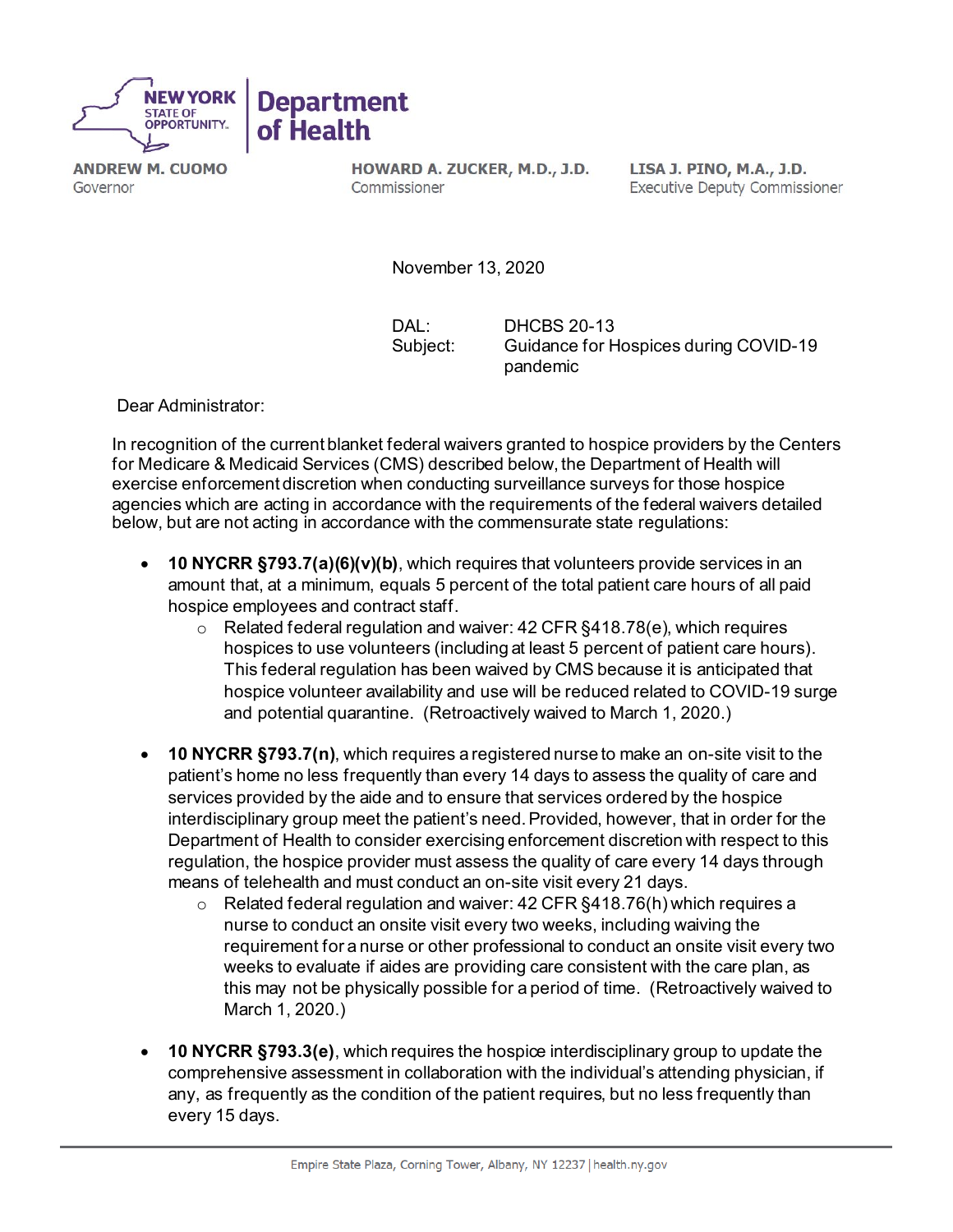

**ANDREW M. CUOMO** Governor

HOWARD A. ZUCKER, M.D., J.D. Commissioner

LISA J. PINO, M.A., J.D. **Executive Deputy Commissioner** 

November 13, 2020

DAL: DHCBS 20-13 Subject: Guidance for Hospices during COVID-19 pandemic

Dear Administrator:

In recognition of the current blanket federal waivers granted to hospice providers by the Centers for Medicare & Medicaid Services (CMS) described below, the Department of Health will exercise enforcement discretion when conducting surveillance surveys for those hospice agencies which are acting in accordance with the requirements of the federal waivers detailed below, but are not acting in accordance with the commensurate state regulations:

- **10 NYCRR §793.7(a)(6)(v)(b)**, which requires that volunteers provide services in an amount that, at a minimum, equals 5 percent of the total patient care hours of all paid hospice employees and contract staff.
	- $\circ$  Related federal regulation and waiver: 42 CFR §418.78(e), which requires hospices to use volunteers (including at least 5 percent of patient care hours). This federal regulation has been waived by CMS because it is anticipated that hospice volunteer availability and use will be reduced related to COVID-19 surge and potential quarantine. (Retroactively waived to March 1, 2020.)
- **10 NYCRR §793.7(n)**, which requires a registered nurse to make an on-site visit to the patient's home no less frequently than every 14 days to assess the quality of care and services provided by the aide and to ensure that services ordered by the hospice interdisciplinary group meet the patient's need. Provided, however, that in order for the Department of Health to consider exercising enforcement discretion with respect to this regulation, the hospice provider must assess the quality of care every 14 days through means of telehealth and must conduct an on-site visit every 21 days.
	- $\circ$  Related federal regulation and waiver: 42 CFR §418.76(h) which requires a nurse to conduct an onsite visit every two weeks, including waiving the requirement for a nurse or other professional to conduct an onsite visit every two weeks to evaluate if aides are providing care consistent with the care plan, as this may not be physically possible for a period of time. (Retroactively waived to March 1, 2020.)
- **10 NYCRR §793.3(e)**, which requires the hospice interdisciplinary group to update the comprehensive assessment in collaboration with the individual's attending physician, if any, as frequently as the condition of the patient requires, but no less frequently than every 15 days.